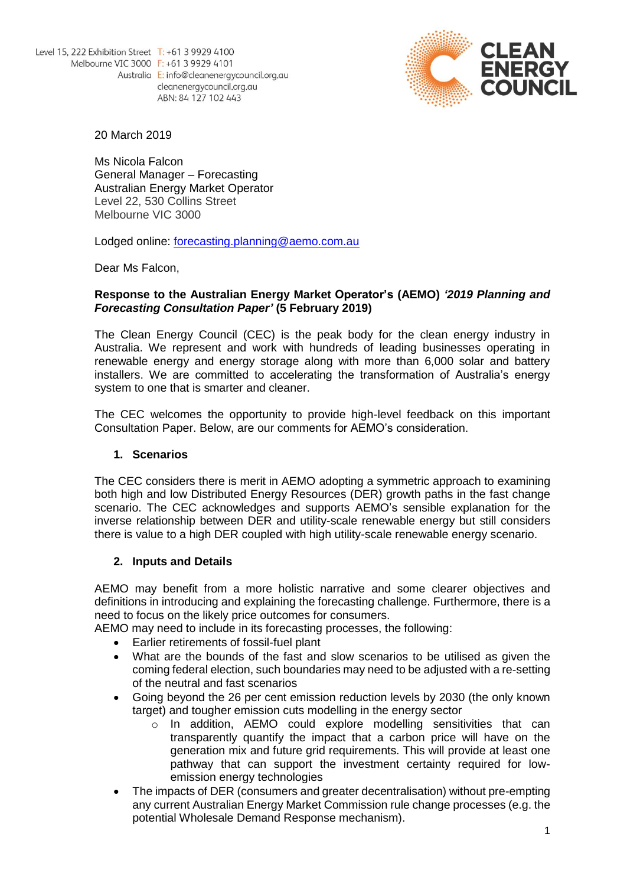

20 March 2019

Ms Nicola Falcon General Manager – Forecasting Australian Energy Market Operator Level 22, 530 Collins Street Melbourne VIC 3000

Lodged online: [forecasting.planning@aemo.com.au](mailto:forecasting.planning@aemo.com.au)

Dear Ms Falcon,

### **Response to the Australian Energy Market Operator's (AEMO)** *'2019 Planning and Forecasting Consultation Paper'* **(5 February 2019)**

The Clean Energy Council (CEC) is the peak body for the clean energy industry in Australia. We represent and work with hundreds of leading businesses operating in renewable energy and energy storage along with more than 6,000 solar and battery installers. We are committed to accelerating the transformation of Australia's energy system to one that is smarter and cleaner.

The CEC welcomes the opportunity to provide high-level feedback on this important Consultation Paper. Below, are our comments for AEMO's consideration.

## **1. Scenarios**

The CEC considers there is merit in AEMO adopting a symmetric approach to examining both high and low Distributed Energy Resources (DER) growth paths in the fast change scenario. The CEC acknowledges and supports AEMO's sensible explanation for the inverse relationship between DER and utility-scale renewable energy but still considers there is value to a high DER coupled with high utility-scale renewable energy scenario.

## **2. Inputs and Details**

AEMO may benefit from a more holistic narrative and some clearer objectives and definitions in introducing and explaining the forecasting challenge. Furthermore, there is a need to focus on the likely price outcomes for consumers.

AEMO may need to include in its forecasting processes, the following:

- Earlier retirements of fossil-fuel plant
- What are the bounds of the fast and slow scenarios to be utilised as given the coming federal election, such boundaries may need to be adjusted with a re-setting of the neutral and fast scenarios
- Going beyond the 26 per cent emission reduction levels by 2030 (the only known target) and tougher emission cuts modelling in the energy sector
	- o In addition, AEMO could explore modelling sensitivities that can transparently quantify the impact that a carbon price will have on the generation mix and future grid requirements. This will provide at least one pathway that can support the investment certainty required for lowemission energy technologies
- The impacts of DER (consumers and greater decentralisation) without pre-empting any current Australian Energy Market Commission rule change processes (e.g. the potential Wholesale Demand Response mechanism).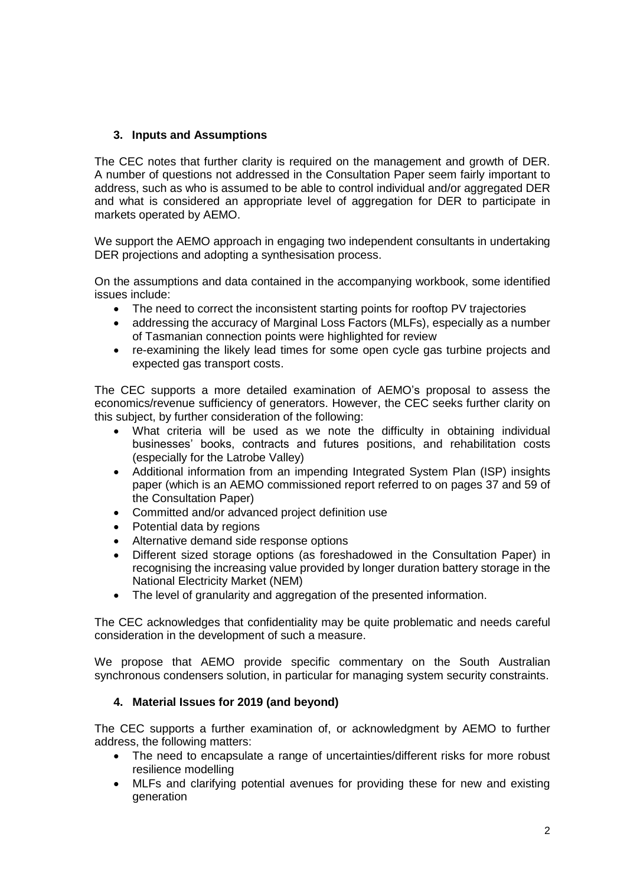# **3. Inputs and Assumptions**

The CEC notes that further clarity is required on the management and growth of DER. A number of questions not addressed in the Consultation Paper seem fairly important to address, such as who is assumed to be able to control individual and/or aggregated DER and what is considered an appropriate level of aggregation for DER to participate in markets operated by AEMO.

We support the AEMO approach in engaging two independent consultants in undertaking DER projections and adopting a synthesisation process.

On the assumptions and data contained in the accompanying workbook, some identified issues include:

- The need to correct the inconsistent starting points for rooftop PV trajectories
- addressing the accuracy of Marginal Loss Factors (MLFs), especially as a number of Tasmanian connection points were highlighted for review
- re-examining the likely lead times for some open cycle gas turbine projects and expected gas transport costs.

The CEC supports a more detailed examination of AEMO's proposal to assess the economics/revenue sufficiency of generators. However, the CEC seeks further clarity on this subject, by further consideration of the following:

- What criteria will be used as we note the difficulty in obtaining individual businesses' books, contracts and futures positions, and rehabilitation costs (especially for the Latrobe Valley)
- Additional information from an impending Integrated System Plan (ISP) insights paper (which is an AEMO commissioned report referred to on pages 37 and 59 of the Consultation Paper)
- Committed and/or advanced project definition use
- Potential data by regions
- Alternative demand side response options
- Different sized storage options (as foreshadowed in the Consultation Paper) in recognising the increasing value provided by longer duration battery storage in the National Electricity Market (NEM)
- The level of granularity and aggregation of the presented information.

The CEC acknowledges that confidentiality may be quite problematic and needs careful consideration in the development of such a measure.

We propose that AEMO provide specific commentary on the South Australian synchronous condensers solution, in particular for managing system security constraints.

## **4. Material Issues for 2019 (and beyond)**

The CEC supports a further examination of, or acknowledgment by AEMO to further address, the following matters:

- The need to encapsulate a range of uncertainties/different risks for more robust resilience modelling
- MLFs and clarifying potential avenues for providing these for new and existing generation